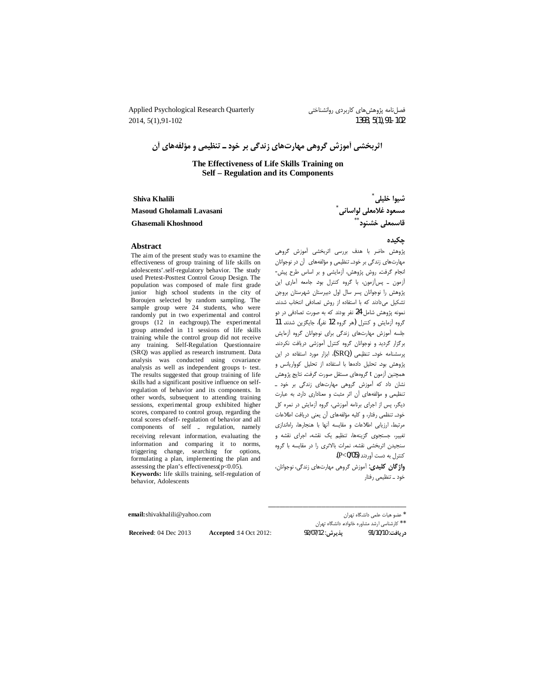Applied Psychological Research Quarterly 2014, 5(1), 91-102

فصل نامه پژوهشهای کاربردی روانشناختی 1393, 5(1), 91-102

اثربخشی آموزش گروهی مهارتهای زندگی بر خود ـ تنظیمی و مؤلفههای آن

The Effectiveness of Life Skills Training on Self - Regulation and its Components

Shiva Khalili

Masoud Gholamali Lavasani

**Ghasemali Khoshnood** 

چکیده

# پژوهش حاضر با هدف بررسی اثربخشی آموزش گروهی مهارتهای زندگی بر خودـ تنظیمی و مؤلفههای آن در نوجوانان انجام گرفت. روش پژوهش، أزمايشي و بر اساس طرح پيش-آزمون \_ پس آزمون، با گروه كنترل بود. جامعه آمارى اين پژوهش را نوجوانان پسر سال اول دبیرستان شهرستان بروجن تشكيل مى دادند كه با استفاده از روش تصادفى انتخاب شدند. نمونه پژوهش شامل 24 نفر بودند که به صورت تصادفی در دو گروه آزمایش و کنترل (هر گروه 12 نفر)، جایگزین شدند. 11 جلسه آموزش مهارتهاى زندگى براى نوجوانان گروه آزمايش برگزار گردید و نوجوانان گروه کنترل آموزشی دریافت نکردند. پرسشنامه خودـ تنظیمی (SRQ)، ابزار مورد استفاده در این پژوهش بود. تحلیل دادهها با استفاده از تحلیل کوواریانس و همچنین آزمون t گروههای مستقل صورت گرفت. نتایج پژوهش نشان داد که آموزش گروهی مهارتهای زندگی بر خود \_ تنظیمی و مؤلفههای آن اثر مثبت و معناداری دارد. به عبارت دیگر، پس از اجرای برنامه آموزشی، گروه آزمایش در نمره کل خودـ تنظمى رفتار، و كليه مؤلفههاى آن يعنى دريافت اطلاعات مرتبط، ارزيابي اطلاعات و مقايسه أنها با هنجارها، راهاندازي تغییر، جستجوی گزینهها، تنظیم یک نقشه، اجرای نقشه و سنجیدن اثربخشی نقشه، نمرات بالاتری را در مقایسه با گروه كنترل به دست آوردند (P<0/05).

واژگان کلیدی: آموزش گروهی مهارتهای زندگی، نوجوانان، خود \_ تنظیمی رفتار

email: shivakhalili@yahoo.com

**Accepted:14 Oct 2012:** 

Received: 04 Dec 2013

\* عضو هيات علمي دانشگاه تهران

\* \* كارشناسي ارشد مشاوره خانواده. دانشگاه تهران پذيرش: 92/07/12 در يافت: 91/10/10

شيوا خليلي مسعود غلامعلی لواسانی<sup>`</sup><br>قاسمعلی خشنود <sup>\* \*</sup>

# **Abstract**

The aim of the present study was to examine the effectiveness of group training of life skills on adolescents'.self-regulatory behavior. The study used Pretest-Posttest Control Group Design. The population was composed of male first grade junior high school students in the city of Boroujen selected by random sampling. The sample group were 24 students, who were randomly put in two experimental and control groups  $(12 \text{ in each group}).$  The experimental group attended in 11 sessions of life skills training while the control group did not receive any training. Self-Regulation Questionnaire (SRQ) was applied as research instrument. Data analysis was conducted using covariance analysis as well as independent groups t- test. The results suggested that group training of life skills had a significant positive influence on selfregulation of behavior and its components. In other words, subsequent to attending training sessions, experimental group exhibited higher scores, compared to control group, regarding the total scores of self-regulation of behavior and all components of self \_ regulation, namely receiving relevant information, evaluating the information and comparing it to norms, triggering change, searching for options, formulating a plan, implementing the plan and assessing the plan's effectiveness( $p$ <0.05). Keywords: life skills training, self-regulation of behavior, Adolescents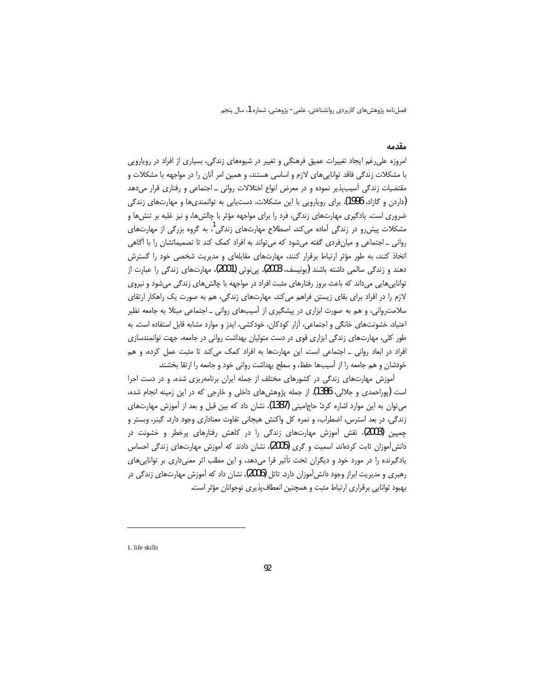### مقدمه

امروزه علی رغم ایجاد تغییرات عمیق فرهنگی و تغییر در شیوههای زندگی، بسیاری از افراد در رویارویی با مشکلات زندگی فاقد توانایی های لازم و اساسی هستند، و همین امر آنان را در مواجهه با مشکلات و مقتضیات زندگی آسیبپذیر نموده و در معرض انواع اختلالات روانی ـ اجتماعی و رفتاری قرار میدهد (داردن و گازاد، 1996). برای رویارویی با این مشکلات، دستیابی به توانمندیها و مهارتهای زندگی ضروری است. یادگیری مهارتهای زندگی، فرد را برای مواجهه مؤثر با چالشها، و نیز غلبه بر تنشها و مشکلات پیشررو در زندگی آماده میکند. اصطلاح مهارتهای زندگی<sup>!</sup>، به گروه بزرگی از مهارتهای روانی ـ اجتماعی و میان فردی گفته میشود که می تواند به افراد کمک کند تا تصمیماتشان را با آگاهی اتخاذ کنند، به طور مؤثر ارتباط برقرار کنند، مهارتهای مقابلهای و مدیریت شخصی خود را گسترش دهند و زندگی سالمی داشته باشند (یونیسف، 2003). پی نوتی (2001)، مهارتهای زندگی را عبارت از تواناییهایی میداند که باعث بروز رفتارهای مثبت افراد در مواجهه با چالشهای زندگی میشود و نیروی لازم را در افراد برای بقای زیستن فراهم میکند. مهارتهای زندگی، هم به صورت یک راهکار ارتقای سلامت٫وانی، و هم به صورت ابزاری در پیشگیری از آسیبهای روانی \_ اجتماعی مبتلا به جامعه نظیر اعتیاد، خشونتهای خانگی و اجتماعی، آزار کودکان، خودکشی، ایدز و موارد مشابه قابل استفاده است. به طور کلی، مهارتهای زندگی ابزاری قوی در دست متولیان بهداشت روانی در جامعه، جهت توانمندسازی افراد در ابعاد روانی \_ اجتماعی است. این مهارتها به افراد کمک می کند تا مثبت عمل کرده، و هم خودشان و هم جامعه را از آسیبها حفظ، و سطح بهداشت روانی خود و جامعه را ارتقا بخشند.

آموزش مهارتهای زندگی در کشورهای مختلف از جمله ایران برنامهریزی شده، و در دست اجرا است (یوراحمدی و جلالی، 1386). از جمله پژوهش های داخلی و خارجی که در این زمینه انجام شده، می توان به این موارد اشاره کرد: حاجامینی (1387)، نشان داد که بین قبل و بعد از آموزش مهارتهای زندگی، در بعد استرس، اضطراب، و نمره کل واکنش هیجانی تفاوت معناداری وجود دارد. گینر، وبستر و چمپین (2003)، نقش آموزش مهارتهای زندگی را در کاهش رفتارهای پرخطر و خشونت در دانش[موزان ثابت کردهاند. اسمیت و گری (2005)، نشان دادند که آموزش مهارتهای زندگی احساس یادگیرنده را در مورد خود و دیگران تحت تأثیر قرا میدهد، و این مطلب اثر معنیداری بر تواناییهای رهبری و مدیریت ابراز وجود دانش[موزان دارد. تاتل (2006)، نشان داد که آموزش مهارتهای زندگی در بهبود توانایی برقراری ارتباط مثبت و همچنین انعطاف پذیری نوجوانان مؤثر است.

1. life skills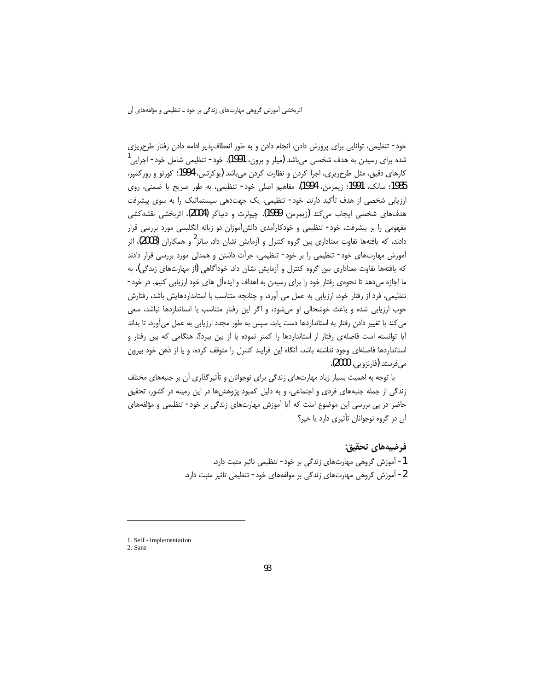خود- تنظیمی، توانایی برای پرورش دادن، انجام دادن و به طور انعطاف پذیر ادامه دادن رفتار طرحریزی شده برای رسیدن به هدف شخصی میباشد (میلر و برون، 1991). خود- تنظیمی شامل خود- اجرایی کارهای دقیق، مثل طرح٫یزی، اجرا کردن و نظارت کردن می باشد (بوکرتس، 1994؛ کورنو و رورکمیر، 1985؛ سانک، 1991؛ زیمرمن، 1994). مفاهیم اصلی خود- تنظیمی، به طور صریح یا ضمنی، روی ارزیابی شخصی از هدف تأکید دارند. خود- تنظیمی، یک جهتدهی سیستماتیک را به سوی پیشرفت هدفهاي شخصي ايجاب مي كند (زيمرمن، 1989). چيولرت و ديباكر (2004)، اثربخشي نقشه كشي مفهومی را بر پیشرفت، خود- تنظیمی و خودکارآمدی دانشآموزان دو زبانه انگلیسی مورد بررسی قرار دادند، که یافتهها تفاوت معناداری بین گروه کنترل و آزمایش نشان داد. سانز<sup>2</sup> و همکاران (2003)، اثر آموزش مهارتهای خود- تنظیمی را بر خود- تنظیمی، جرأت داشتن و همدلی مورد بررسی قرار دادند که یافتهها تفاوت معناداری بین گروه کنترل و آزمایش نشان داد. خودآگاهی (از مهارتهای زندگی)، به ما اجازه میدهد تا نحوهی رفتار خود را برای رسیدن به اهداف و ایدهآل های خود ارزیابی کنیم. در خود-تنظیمی، فرد از رفتار خود، ارزیابی به عمل می آورد، و چنانچه متناسب با استانداردهایش باشد، رفتارش خوب ارزیابی شده و باعث خوشحالی او میشود، و اگر این رفتار متناسب با استانداردها نباشد، سعی می کند با تغییر دادن رفتار به استانداردها دست یابد، سپس به طور مجدد ارزیابی به عمل می آورد، تا بداند آیا توانسته است فاصلهی رفتار از استانداردها را کمتر نموده یا از بین ببرد؟. هنگامی که بین رفتار و استانداردها فاصلهای وجود نداشته باشد، آنگاه این فرایند کنترل را متوقف کرده، و یا از ذهن خود بیرون می فرستد (فارنزویی، 2000).

با توجه به اهمیت بسیار زیاد مهارتهای زندگی برای نوجوانان و تأثیر گذاری آن بر جنبههای مختلف زندگی از جمله جنبههای فردی و اجتماعی، و به دلیل کمبود پژوهش ها در این زمینه در کشور، تحقیق حاضر در پی بررسی این موضوع است که آیا آموزش مهارتهای زندگی بر خود- تنظیمی و مؤلفههای آن در گروه نوجوانان تأثیری دارد یا خیر؟

# فرضيههاي تحقيق:

1- آموزش گروهی مهارتهای زندگی بر خود- تنظیمی تاثیر مثبت دارد. 2- آموزش گروهی مهارتهای زندگی بر مولفههای خود- تنظیمی تاثیر مثبت دارد.

<sup>1.</sup> Self - implementation

<sup>2.</sup> Sanz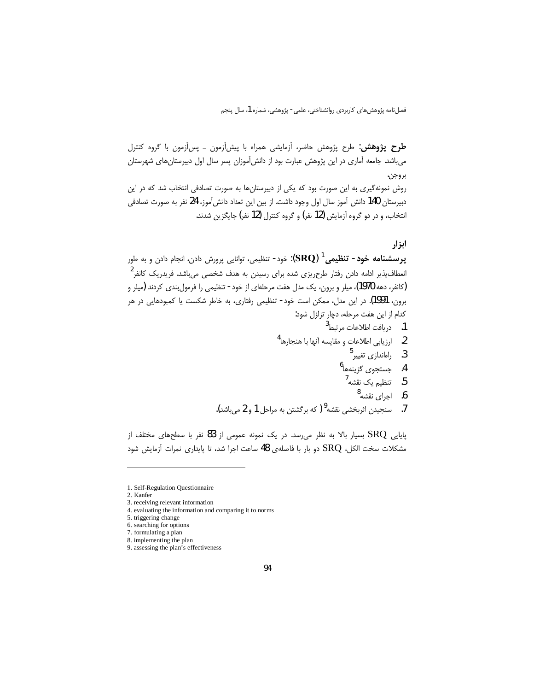طرح پژوهشن: طرح پژوهش حاضر، آزمایشی همراه با پیشآزمون ـ پسآزمون با گروه کنترل می باشد. جامعه آماری در این پژوهش عبارت بود از دانش آموزان پسر سال اول دبیرستانهای شهرستان بروجن.

روش نمونه گیری به این صورت بود که یکی از دبیرستانها به صورت تصادفی انتخاب شد که در این دبیرستان 140 دانش آموز سال اول وجود داشت. از بین این تعداد دانش آموز، 24 نفر به صورت تصادفی انتخاب، و در دو گروه آزمایش (12 نفر) و گروه کنترل (12 نفر) جایگزین شدند.

## ابز ار

**پرسشنامه خود- تنظیمی <sup>1</sup> (SRQ**): خود- تنظیمی، توانایی پرورش دادن، انجام دادن و به طور انعطاف\$پذیر ادامه دادن رفتار طرحریزی شده برای رسیدن به هدف شخصی می,باشد. فریدریک کانفر<sup>1</sup> (کانفر، دهه 1970)، میلر و برون، یک مدل هفت مرحلهای از خود- تنظیمی را فرمولبندی کردند (میلر و برون، 1991). در این مدل، ممکن است خود- تنظیمی رفتاری، به خاطر شکست یا کمبودهایی در هر كدام از اين هفت مرحله، دچار تزلزل شود:

- 1. دريافت اطلاعات مرتبط<sup>3</sup>
- 2. ارزيابي اطلاعات و مقايسه أنها با هنجارها<sup>4</sup>
	- $^5$ . راهاندازی تغییر 5
	- 4. جستجوى گزينهها<sup>6</sup>
	- 5. تنظی<sub>م</sub> یک نقشه <sup>7</sup>
		- $^8$ . اجرای نقشه $^8$
- 7. سنجيدن اثربخشي نقشه<sup>9</sup> ( كه برگشتن به مراحل 1 و 2 م<sub>و ن</sub>اشد).

پایایی SRQ بسیار بالا به نظر می رسد. در یک نمونه عمومی از 83 نفر با سطحهای مختلف از مشكلات سخت الكل، SRQ دو بار با فاصلهى 48 ساعت اجرا شد، تا پايدارى نمرات آزمايش شود

<sup>1.</sup> Self-Regulation Questionnaire

<sup>2.</sup> Kanfer

<sup>3.</sup> receiving relevant information

<sup>4.</sup> evaluating the information and comparing it to norms

<sup>5.</sup> triggering change 6. searching for options

<sup>7.</sup> formulating a plan

<sup>8.</sup> implementing the plan

<sup>9.</sup> assessing the plan's effectiveness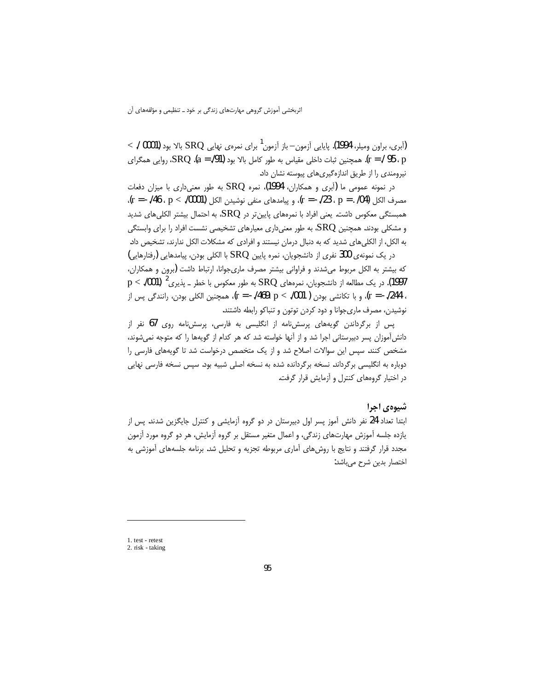$\sim$  / 0001). (آبری، براون ومیلر، 1994). پایایی آزمون—باز آزمون<sup>1</sup> برای نمرهی نهایی  $\text{SRQ}$  بالا بود p ، 95 / = r). همچنین ثبات داخلی مقیاس به طور کامل بالا بود (91/. = a). SRQ، روایی همگرای نیرومندی را از طریق اندازهگیریهای پیوسته نشان داد.

در نمونه عمومی ما (آبری و همکاران، 1994)، نمره SRQ به طور معنیداری با میزان دفعات مصرف الكل p = . /04) . p = . (23 . p = . /04) منفى نوشيدن الكل p < ./0001) . p < . (04) . همبستگی معکوس داشت. یعنی افراد با نمرههای پایین $\rm RQ$  در  $\rm SRQ$ ۵ به احتمال بیشتر الکلیهای شدید و مشکلی بودند. همچنین  ${\rm SRQ}$  به طور معنیداری معیارهای تشخیصی نشست افراد را برای وابستگی به الکل، از الکلی های شدید که به دنبال درمان نیستند و افرادی که مشکلات الکل ندارند، تشخیص داد.

در یک نمونهی 300 نفری از دانشجویان، نمره پایین SRQ با الکلی بودن، پیامدهایی (رفتارهایی) که بیشتر به الکل مربوط میشدند و فراوانی بیشتر مصرف ماریجوانا، ارتباط داشت (برون و همکاران، 1997). در یک مطالعه از دانشجویان، نمرههای  ${\rm SRQ}$  به طور معکوس با خطر ــ پذیری $^{-2}$  (1001). ${\rm p} < 1$ ، 244/. = r)، و با تكانشي بودن ( 001/. > r = -/469، p)، همچنين الكلي بودن، رانندگي پس از نوشیدن، مصرف ماری جوانا و دود کردن توتون و تنباکو رابطه داشتند.

پس از برگرداندن گویههای پرسشنامه از انگلیسی به فارسی، پرسشنامه روی 67 نفر از دانش[موزان پسر دبیرستانی اجرا شد و از آنها خواسته شد که هر کدام از گویهها را که متوجه نمیشوند، مشخص کنند. سپس این سوالات اصلاح شد و از یک متخصص درخواست شد تا گویههای فارسی را دوباره به انگلیسی برگرداند. نسخه برگردانده شده به نسخه اصلی شبیه بود. سپس نسخه فارسی نهایی در اختیار گروههای کنترل و آزمایش قرار گرفت.

# شیوهی اجرا

ابتدا تعداد 24 نفر دانش آموز پسر اول دبیرستان در دو گروه آزمایشی و کنترل جایگزین شدند. پس از یازده جلسه آموزش مهارتهای زندگی، و اعمال متغیر مستقل بر گروه آزمایش، هر دو گروه مورد آزمون مجدد قرار گرفتند و نتایج با روش های آماری مربوطه تجزیه و تحلیل شد. برنامه جلسههای آموزشی به اختصار بدین شرح میباشد:

<sup>1.</sup> test - retest

<sup>2.</sup> risk - taking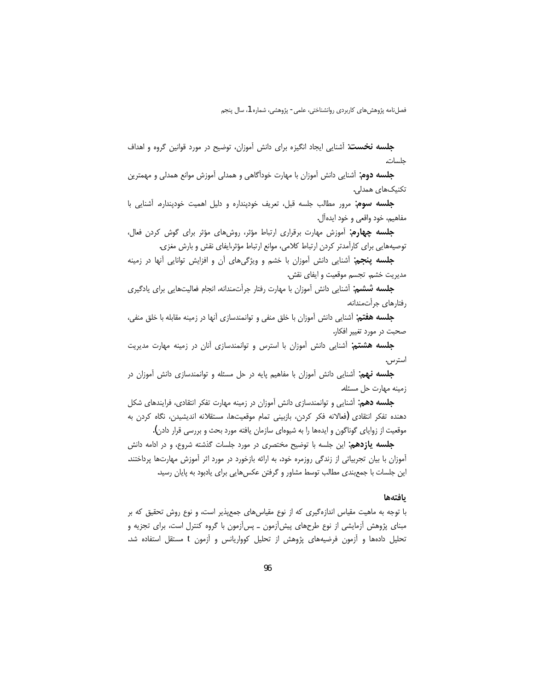**جلسه نخست**: آشنایی ایجاد انگیزه برای دانش آموزان، توضیح در مورد قوانین گروه و اهداف جلسات.

**جلسه دوم**: آشنایی دانش آموزان با مهارت خودآگاهی و همدلی آموزش موانع همدلی و مهمترین تکنیکهای همدلی.

جلسه سوم: مرور مطالب جلسه قبل، تعريف خودپنداره و دليل اهميت خودپنداره. آشنايي با مفاهيم، خود واقعي و خود ايدهآل.

**جلسه چهارم**: آموزش مهارت برقراری ارتباط مؤثر، روشهای مؤثر برای گوش کردن فعال، توصیههایی برای کارآمدتر کردن ارتباط کلامی، موانع ارتباط مؤثر،ایفای نقش و بارش مغزی.

**جلسه پنجم**: آشنایی دانش آموزان با خشم و ویژگیهای آن و افزایش توانایی آنها در زمینه مديريت خشم. تجسم موقعيت و ايفاي نقش.

جلسه ششم: آشنایی دانش آموزان با مهارت رفتار جرأتمندانه، انجام فعالیتهایی برای یادگیری رفتارهای جرأتمندانه.

**جلسه هفتم**: آشنایی دانش آموزان با خلق منفی و توانمندسازی آنها در زمینه مقابله با خلق منفی، صحبت در مورد تغییر افکار.

جلسه هشتم: آشنایی دانش آموزان با استرس و توانمندسازی آنان در زمینه مهارت مدیریت استرس.

**جلسه نهم:** آشنایی دانش آموزان با مفاهیم پایه در حل مسئله و توانمندسازی دانش آموزان در زمينه مهارت حل مسئله.

**جلسه دهم**: آشنایی و توانمندسازی دانش آموزان در زمینه مهارت تفکر انتقادی، فرایندهای شکل دهنده تفكر انتقادى (فعالانه فكر كردن، بازبيني تمام موقعيتها، مستقلانه انديشيدن، نگاه كردن به موقعیت از زوایای گوناگون و ایدهها را به شیوهای سازمان یافته مورد بحث و بررسی قرار دادن).

**جلسه یازدهم:** این جلسه با توضیح مختصری در مورد جلسات گذشته شروع، و در ادامه دانش آموزان با بیان تجربیاتی از زندگی روزمره خود، به ارائه بازخورد در مورد اثر آموزش مهارتها پرداختند. این جلسات با جمعبندی مطالب توسط مشاور و گرفتن عکسهایی برای یادبود به پایان رسید.

### بافتهها

با توجه به ماهیت مقیاس اندازهگیری که از نوع مقیاسهای جمعپذیر است، و نوع روش تحقیق که بر مبنای پژوهش آزمایشی از نوع طرحهای پیشآزمون ـ پسآزمون با گروه کنترل است، برای تجزیه و تحلیل دادهها و آزمون فرضیههای پژوهش از تحلیل کوواریانس و آزمون t مستقل استفاده شد.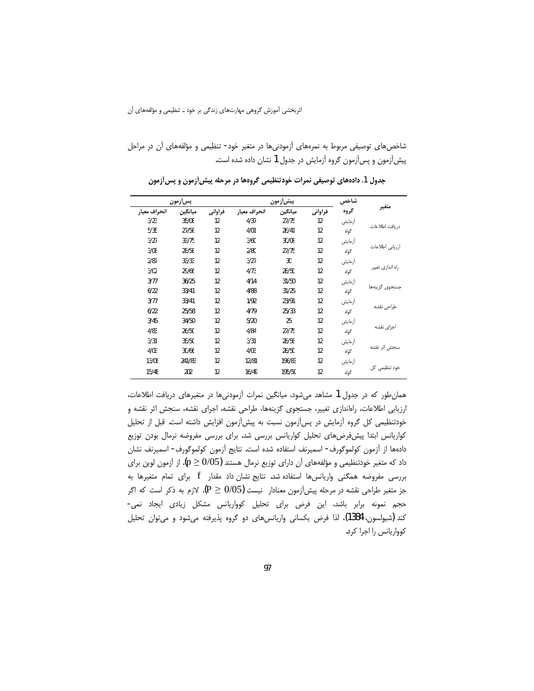شاخصهای توصیفی مربوط به نمرههای آزمودنیها در متغیر خود- تنظیمی و مؤلفههای آن در مراحل پیشآزمون و پسآزمون گروه آزمایش در جدول 1 نشان داده شده است.

| يسiزمون      |         |         | ييش[ز مون    |         |         | شاخص   |                  |  |
|--------------|---------|---------|--------------|---------|---------|--------|------------------|--|
| انحراف معيار | ميانگين | فراواني | انحراف معيار | ميانگين | فراواني | گروه   | متغير            |  |
| 3/23         | 35/08   | 12      | 4/37         | 27/75   | 12      | أزمايش | دريافت اطلاعات   |  |
| 5/35         | 27/58   | 12      | 4/01         | 26/41   | 12      | گواه   |                  |  |
| 3/27         | 33/75   | 12      | 3/60         | 30/08   | 12      | أزمايش | ارزيابي اطلاعات  |  |
| 3/08         | 28/58   | 12      | 2/80         | 27/75   | 12      | گواه   |                  |  |
| 2/87         | 33/33   | 12      | 3/27         | 30      | 12      | أزمايش | راه اندازي تغيير |  |
| 3/02         | 29/66   | 12      | 4/73         | 28/50   | 12      | گواه   |                  |  |
| 3/77         | 36/25   | 12      | 4/14         | 31/50   | 12      | أزمايش | جستجوى گزينهها   |  |
| 6/22         | 33/41   | 12      | 4/88         | 31/25   | 12      | گواه   |                  |  |
| 3/77         | 33/41   | 12      | 1/92         | 23/91   | 12      | أزمايش | طراحى نقشه       |  |
| 6/22         | 25/58   | 12      | 4/79         | 25/33   | 12      | گواه   |                  |  |
| 3/45         | 34/50   | 12      | 5/20         | 25      | 12      | أزمايش | اجراى نقشه       |  |
| 4/83         | 26/50   | 12      | 4/84         | 27/75   | 12      | گواه   |                  |  |
| 3/31         | 35/50   | 12      | 3/31         | 28/58   | 12      | أزمايش | سنجش اثر نقشه    |  |
| 4/03         | 30/66   | 12      | 4/03         | 28/50   | 12      | گواه   |                  |  |
| 13/06        | 241/83  | 12      | 12/81        | 196/83  | 12      | أزمايش |                  |  |
| 15/48        | 202     | 12      | 16/49        | 195/50  | 12      | گواه   | خود تنظیمی کل    |  |

جدول 1. دادههای توصیفی نمرات خودتنظیمی گروهها در مرحله پیش[زمون و پس[زمون

همان طور که در جدول 1 مشاهد می شود، میانگین نمرات آزمودنی ها در متغیرهای دریافت اطلاعات، ارزیابی اطلاعات، راهاندازی تغییر، جستجوی گزینهها، طراحی نقشه، اجرای نقشه، سنجش اثر نقشه و خودتنظیمی کل گروه آزمایش در پسآزمون نسبت به پیشآزمون افزایش داشته است. قبل از تحلیل كواريانس ابتدا پيش فرضهاى تحليل كواريانس بررسى شد. براى بررسى مفروضه نرمال بودن توزيع دادهها از آزمون كولموگورف- اسميرنف استفاده شده است. نتايج آزمون كولموگورف- اسميرنف نشان داد که متغیر خودتنظیمی و مؤلفههای آن دارای توزیع نرمال هستند (p  $\geq$  0/05). از آزمون لوین برای بررسی مفروضه همگنی واریانسها استفاده شد. نتایج نشان داد مقدار f برای تمام متغیرها به جز متغیر طراحی نقشه در مرحله پیش[زمون معنادار نیست D  $(0/5)$ . لازم به ذکر است که اگر حجم نمونه برابر باشد، این فرض برای تحلیل کوواریانس مشکل زیادی ایجاد نمی-كند (شيولسون، 1384)، لذا فرض يكساني واريانسهاي دو گروه پذيرفته ميشود و مي توان تحليل كوواريانس را اجرا كرد.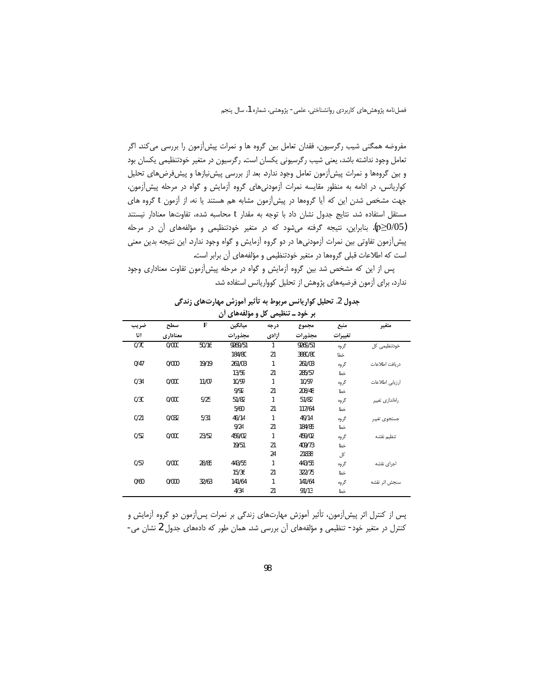مفروضه همگنی شیب رگرسیون، فقدان تعامل بین گروه ها و نمرات پیش[زمون را بررسی می کند. اگر تعامل وجود نداشته باشد، یعنی شیب رگرسیونی یکسان است. رگرسیون در متغیر خودتنظیمی یکسان بود و بین گروهها و نمرات پیش آزمون تعامل وجود ندارد. بعد از بررسی پیش نیازها و پیش فرضهای تحلیل کواریانس، در ادامه به منظور مقایسه نمرات آزمودنیهای گروه آزمایش و گواه در مرحله پیشآزمون، جهت مشخص شدن این که آیا گروهها در پیش آزمون مشابه هم هستند یا نه، از آزمون t گروه های مستقل استفاده شد. نتايج جدول نشان داد با توجه به مقدار t محاسبه شده، تفاوتها معنادار نيستند (p≥0/05). بنابراین، نتیجه گرفته میشود که در متغیر خودتنظیمی و مؤلفههای آن در مرحله پیش آزمون تفاوتی بین نمرات آزمودنیها در دو گروه آزمایش و گواه وجود ندارد. این نتیجه بدین معنی است که اطلاعات قبلی گروهها در متغیر خودتنظیمی و مؤلفههای آن برابر است.

پس از این که مشخص شد بین گروه آزمایش و گواه در مرحله پیشآزمون تفاوت معناداری وجود ندارد، برای آزمون فرضیههای پژوهش از تحلیل کوواریانس استفاده شد.

| جدول 2. تحلیل کواریانس مربوط به تأثیر أموزش مهارتهای زندگی |
|------------------------------------------------------------|
| ير خود ــ تنظيمي کل و مؤلفههاي آن                          |

| س و سوستگی ن<br>سيسى<br>بر -ر- |          |             |         |       |         |         |                 |  |  |  |
|--------------------------------|----------|-------------|---------|-------|---------|---------|-----------------|--|--|--|
| ضريب                           | سطح      | $\mathbf F$ | ميانگين | درجه  | مجموع   | منبع    | متغير           |  |  |  |
| اتا                            | معناداري |             | مجذورات | أزادي | مجذورات | تغييرات |                 |  |  |  |
| 0/70                           | 0/000    | 50/16       | 9269/51 |       | 9269/51 | گروه    | خودتنظیمی کل    |  |  |  |
|                                |          |             | 184/80  | 21    | 3880/80 | خطا     |                 |  |  |  |
| 0/47                           | 0/000    | 19/19       | 261/03  | 1     | 261/03  | گروه    | دريافت اطلاعات  |  |  |  |
|                                |          |             | 13/59   | 21    | 285/57  | خطا     |                 |  |  |  |
| 0/34                           | 0/000    | 11/07       | 10/97   | 1     | 10/97   | گروه    | ارزيابي اطلاعات |  |  |  |
|                                |          |             | 9/92    | 21    | 208/48  | خطا     |                 |  |  |  |
| 0/30                           | 0/000    | 9/25        | 51/82   | 1     | 51/82   | گروه    | راهاندازى تغيير |  |  |  |
|                                |          |             | 5/60    | 21    | 117/64  | خطا     |                 |  |  |  |
| 0/21                           | 0/032    | 5/31        | 49/14   | 1     | 49/14   | گروه    | جستجوى تغيير    |  |  |  |
|                                |          |             | 9/24    | 21    | 184/85  | خطا     |                 |  |  |  |
| 0/52                           | 0/000    | 23/52       | 459/02  | 1     | 459/02  | گروه    | تنظيم نقشه      |  |  |  |
|                                |          |             | 19/51   | 21    | 409/73  | خطا     |                 |  |  |  |
|                                |          |             |         | 24    | 21838   | کل      |                 |  |  |  |
| 0/57                           | 0/000    | 28/85       | 443/55  | 1     | 443/55  | گروه    | اجرای نقشه      |  |  |  |
|                                |          |             | 15/36   | 21    | 322/75  | خطا     |                 |  |  |  |
| 0/60                           | 0/000    | 32/63       | 141/64  | 1     | 141/64  | گروه    | سنجش اثر نقشه   |  |  |  |
|                                |          |             | 4/34    | 21    | 91/13   | خطا     |                 |  |  |  |

پس از کنترل اثر پیش[زمون، تأثیر آموزش مهارتهای زندگی بر نمرات پس[زمون دو گروه آزمایش و کنترل در متغیر خود- تنظیمی و مؤلفههای آن بررسی شد. همان طور که دادههای جدول 2 نشان می-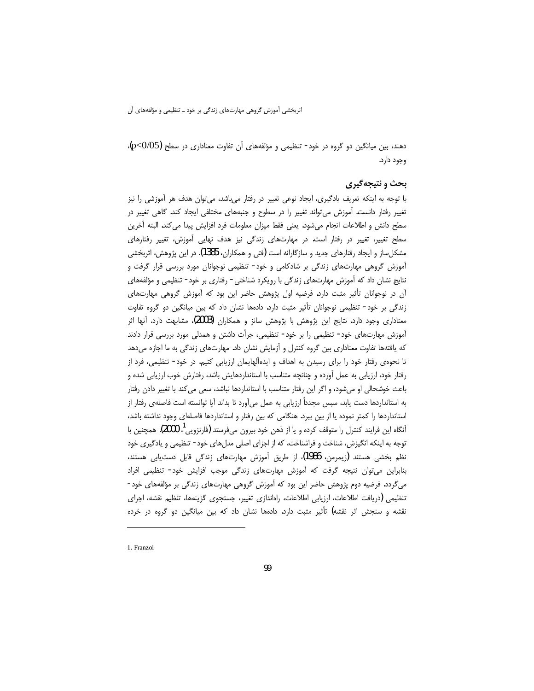دهند، بین میانگین دو گروه در خود- تنظیمی و مؤلفههای آن تفاوت معناداری در سطح (p<0/05)، وجود دارد.

# بحث و نتيجهگيري

با توجه به اینکه تعریف یادگیری، ایجاد نوعی تغییر در رفتار میباشد، میتوان هدف هر آموزشی را نیز تغییر رفتار دانست. آموزش می تواند تغییر را در سطوح و جنبههای مختلفی ایجاد کند. گاهی تغییر در سطح دانش و اطلاعات انجام مىشود. يعنى فقط ميزان معلومات فرد افزايش پيدا مى كند. البته أخرين سطح تغییر، تغییر در رفتار است. در مهارتهای زندگی نیز هدف نهایی آموزش، تغییر رفتارهای مشکلساز و ایجاد رفتارهای جدید و سازگارانه است (فتی و همکاران، 1385). در این پژوهش، اثربخشی آموزش گروهی مهارتهای زندگی بر شادکامی و خود- تنظیمی نوجوانان مورد بررسی قرار گرفت و نتایج نشان داد که اًموزش مهارتهای زندگی با رویکرد شناختی- رفتاری بر خود- تنظیمی و مؤلفههای آن در نوجوانان تأثیر مثبت دارد. فرضیه اول پژوهش حاضر این بود که آموزش گروهی مهارتهای زندگی بر خود- تنظیمی نوجوانان تأثیر مثبت دارد. دادهها نشان داد که بین میانگین دو گروه تفاوت معناداری وجود دارد. نتایج این پژوهش با پژوهش سانز و همکاران (2003)، مشابهت دارد. آنها اثر آموزش مهارتهای خود- تنظیمی را بر خود- تنظیمی، جرأت داشتن و همدلی مورد بررسی قرار دادند که یافتهها تفاوت معناداری بین گروه کنترل و آزمایش نشان داد. مهارتهای زندگی به ما اجازه میدهد تا نحوهی رفتار خود را برای رسیدن به اهداف و ایدهآلهایمان ارزیابی کنیم. در خود- تنظیمی، فرد از رفتار خود، ارزیابی به عمل آورده و چنانچه متناسب با استانداردهایش باشد، رفتارش خوب ارزیابی شده و باعث خوشحالی او میشود، و اگر این رفتار متناسب با استانداردها نباشد، سعی می کند با تغییر دادن رفتار به استانداردها دست یابد، سپس مجدداً ارزیابی به عمل میآورد تا بداند آیا توانسته است فاصلهی رفتار از استانداردها را کمتر نموده یا از بین ببرد. هنگامی که بین رفتار و استانداردها فاصلهای وجود نداشته باشد، آنگاه این فرایند کنترل را متوقف کرده و یا از ذهن خود بیرون میفرستد (فارنزویی<sup>!</sup>، 2000). همچنین با توجه به اینکه انگیزش، شناخت و فراشناخت، که از اجزای اصلی مدلهای خود- تنظیمی و یادگیری خود نظم بخشی هستند (زیمرمن، 1986)، از طریق آموزش مهارتهای زندگی قابل دستیابی هستند، بنابراین می توان نتیجه گرفت که آموزش مهارتهای زندگی موجب افزایش خود- تنظیمی افراد میگردد. فرضیه دوم پژوهش حاضر این بود که آموزش گروهی مهارتهای زندگی بر مؤلفههای خود-تنظيمي (دريافت اطلاعات، ارزيابي اطلاعات، راهاندازي تغيير، جستجوي گزينهها، تنظيم نقشه، اجراي نقشه و سنجش اثر نقشه) تأثیر مثبت دارد. دادهها نشان داد که بین میانگین دو گروه در خرده

1. Franzoi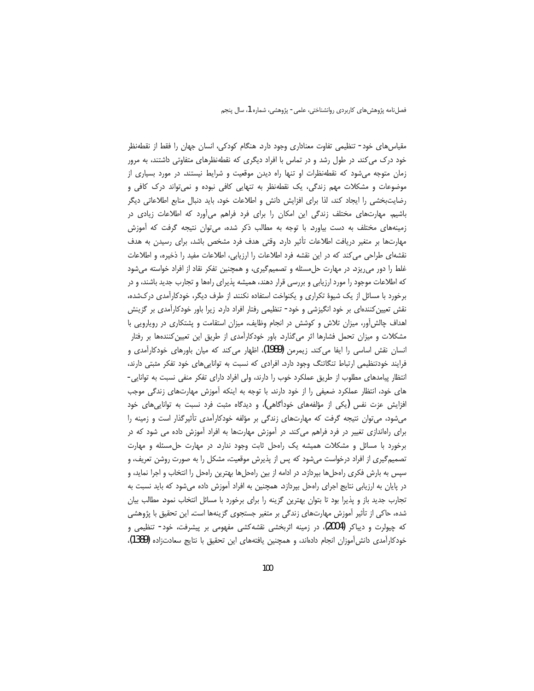مقیاس های خود- تنظیمی تفاوت معناداری وجود دارد. هنگام کودکی، انسان جهان را فقط از نقطهنظر خود درک می کند. در طول رشد و در تماس با افراد دیگری که نقطهنظرهای متفاوتی داشتند، به مرور زمان متوجه می شود که نقطه نظرات او تنها راه دیدن موقعیت و شرایط نیستند. در مورد بسیاری از موضوعات و مشکلات مهم زندگی، یک نقطهنظر به تنهایی کافی نبوده و نمی تواند درک کافی و رضایتبخشی را ایجاد کند، لذا برای افزایش دانش و اطلاعات خود، باید دنبال منابع اطلاعاتی دیگر باشیم. مهارتهای مختلف زندگی این امکان را برای فرد فراهم میأورد که اطلاعات زیادی در زمینههای مختلف به دست بیاورد. با توجه به مطالب ذکر شده، می¤وان نتیجه گرفت که آموزش مهارتها بر متغیر دریافت اطلاعات تأثیر دارد. وقتی هدف فرد مشخص باشد، برای رسیدن به هدف نقشهای طراحی می کند که در این نقشه فرد اطلاعات را ارزیابی، اطلاعات مفید را ذخیره، و اطلاعات غلط را دور می ریزد. در مهارت حل مسئله و تصمیم گیری، و همچنین تفکر نقاد از افراد خواسته می شود که اطلاعات موجود را مورد ارزیابی و بررسی قرار دهند، همیشه پذیرای راهها و تجارب جدید باشند، و در برخورد با مسائل از یک شیوهٔ تکراری و یکنواخت استفاده نکنند. از طرف دیگر، خودکارآمدی درکشده، نقش تعیین کنندهای بر خود انگیزشی و خود- تنظیمی رفتار افراد دارد. زیرا باور خودکارآمدی بر گزینش اهداف چالش آور، میزان تلاش و کوشش در انجام وظایف، میزان استقامت و پشتکاری در رویارویی با مشکلات و میزان تحمل فشارها اثر میگذارد. باور خودکارآمدی از طریق این تعیین کنندهها بر رفتار انسان نقش اساسی را ایفا می کند. زیمرمن (1989)، اظهار می کند که میان باورهای خودکارآمدی و فرایند خودتنظیمی ارتباط تنگاتنگ وجود دارد. افرادی که نسبت به تواناییهای خود تفکر مثبتی دارند، انتظار پیامدهای مطلوب از طریق عملکرد خوب را دارند، ولی افراد دارای تفکر منفی نسبت به توانایی-های خود، انتظار عملکرد ضعیفی را از خود دارند. با توجه به اینکه آموزش مهارتهای زندگی موجب افزایش عزت نفس (یکی از مؤلفههای خودآگاهی)، و دیدگاه مثبت فرد نسبت به تواناییهای خود میشود، می توان نتیجه گرفت که مهارتهای زندگی بر مؤلفه خودکارآمدی تأثیرگذار است و زمینه را برای راهاندازی تغییر در فرد فراهم میکند. در آموزش مهارتها به افراد آموزش داده می شود که در برخورد با مسائل و مشکلات همیشه یک راهحل ثابت وجود ندارد. در مهارت حل مسئله و مهارت تصمیمگیری از افراد درخواست میشود که پس از پذیرش موقعیت، مشکل را به صورت روشن تعریف، و سپس به بارش فکری راهحلها بپردازد. در ادامه از بین راهحلها بهترین راهحل را انتخاب و اجرا نماید، و در پایان به ارزیابی نتایج اجرای راهحل بپردازد. همچنین به افراد آموزش داده میشود که باید نسبت به تجارب جدید باز و پذیرا بود تا بتوان بهترین گزینه را برای برخورد با مسائل انتخاب نمود. مطالب بیان شده، حاکی از تأثیر آموزش مهارتهای زندگی بر متغیر جستجوی گزینهها است. این تحقیق با پژوهشی که چیولرت و دیباکر (2004)، در زمینه اثربخشی نقشهکشی مفهومی بر پیشرفت، خود- تنظیمی و خودکارآمدی دانشآموزان انجام دادهاند، و همچنین یافتههای این تحقیق با نتایج سعادتزاده (1389)،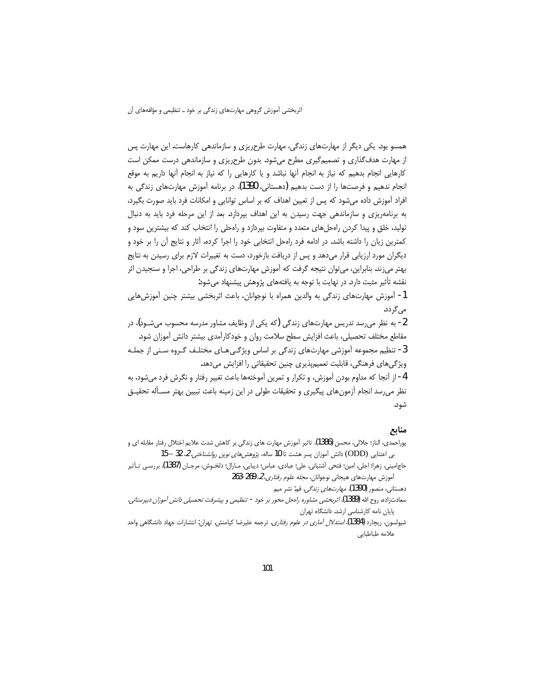همسو بود. یکی دیگر از مهارتهای زندگی، مهارت طرحریزی و سازماندهی کارهاست. این مهارت پس از مهارت هدف\$ذاری و تصمیمگیری مطرح میشود. بدون طرح٫یزی و سازماندهی درست ممکن است كارهايي انجام بدهيم كه نياز به انجام أنها نباشد و يا كارهايي را كه نياز به انجام أنها داريم به موقع انجام ندهیم و فرصتها را از دست بدهیم (دهستانی، 1390). در برنامه آموزش مهارتهای زندگی به افراد آموزش داده میشود که پس از تعیین اهداف که بر اساس توانایی و امکانات فرد باید صورت بگیرد، به برنامهریزی و سازماندهی جهت رسیدن به این اهداف بپردازد. بعد از این مرحله فرد باید به دنبال تولید، خلق و پیدا کردن راهحلهای متعدد و متفاوت بپردازد و راهحلی را انتخاب کند که بیشترین سود و کمترین زیان را داشته باشد. در ادامه فرد رامحل انتخابی خود را اجرا کرده، آثار و نتایج آن را بر خود و دیگران مورد ارزیابی قرار میدهد و پس از دریافت بازخورد، دست به تغییرات لازم برای رسیدن به نتایج بهتر میزند. بنابراین، می¤وان نتیجه گرفت که آموزش مهارتهای زندگی بر طراحی، اجرا و سنجیدن اثر نقشه تأثیر مثبت دارد. در نهایت با توجه به یافتههای پژوهش پیشنهاد میشود:

1- أموزش مهارتهاى زندگى به والدين همراه با نوجوانان، باعث اثربخشى بيشتر چنين أموزش،هايي می گردد.

2- به نظر می٫رسد تدریس مهارتهای زندگی (که یکی از وظایف مشاور مدرسه محسوب می٬شـود)، در مقاطع مختلف تحصيلي، باعث افزايش سطح سلامت روان و خودكارآمدي بيشتر دانش آموزان شود. 3- تنظیم مجموعه آموزشی مهارتهای زندگی بر اساس ویژگـیِهـای مختلـف گـروه سـنی از جملـه ویژگیهای فرهنگی، قابلیت تعمیمپذیری چنین تحقیقاتی را افزایش میدهد.

4- از آنجا که مداوم بودن آموزش، و تکرار و تمرین آموختهها باعث تغییر رفتار و نگرش فرد می شود، به نظر می رسد انجام آزمون های پیگیری و تحقیقات طولی در این زمینه باعث تبیین بهتر مسـأله تحقیــق شود.

## منابع

- پوراحمدی، الناز؛ جلالی، محسن (1386). تاثیر آموزش مهارت های زندگی بر کاهش شدت علایم اختلال رفتار مقابله ای و بی اعتنایی (ODD) دانش آموزان پسر هشت تا 10 ساله، *پژوهشهای نوین روانشناختی، 2* 32 – 15
- حاجاميني، زهرا؛ اجلي، امين؛ فتحي آشتياني، علي؛ عبادي، عباس؛ ديبايي، مـارال؛ دلخـوش، مرجـان (1387). بررسـي تـأثير آموزش مهارتهای هیجانی نوجوانان، *مجله علوم رفتاری، 2*، 269-263

دهستاني، منصور (1390). *مهارتهاي زندگي*. قم: نشر ميم

- سعادتزاده، روح الله (1389). *اثربخشي مشاوره راهحل محور بر خود تنظيمي و پيشرفت تحصيلي دانش آموزان دبيرستاني*. یایان نامه کارشناسی ارشد. دانشگاه تهران
- شیولسون، ریچارد (1384). *استدلال آماری در علوم رفتاری*. ترجمه علیرضا کیامنش. تهران: انتشارات جهاد دانشگاهی واحد علامه طباطبايي